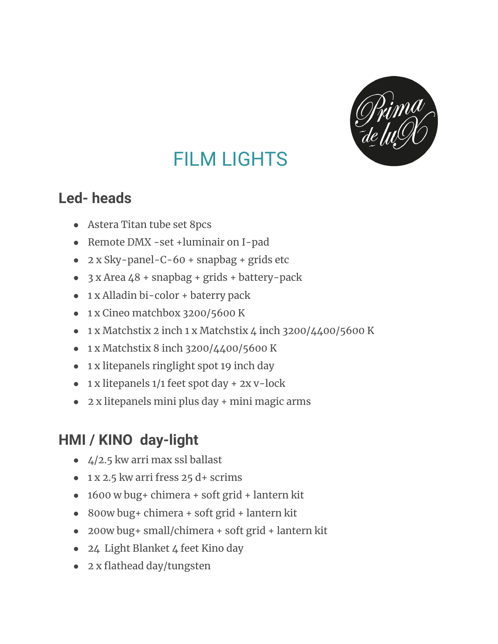

# FILM LIGHTS

### **Led- heads**

- Astera Titan tube set 8pcs
- Remote DMX -set +luminair on I-pad
- 2 x Sky-panel-C-60 + snapbag + grids etc
- $3x$  Area  $48 +$  snapbag + grids + battery-pack
- 1 x Alladin bi-color + baterry pack
- 1 x Cineo matchbox 3200/5600 K
- 1 x Matchstix 2 inch 1 x Matchstix 4 inch 3200/4400/5600 K
- 1 x Matchstix 8 inch 3200/4400/5600 K
- 1 x litepanels ringlight spot 19 inch day
- $\bullet$  1 x litepanels 1/1 feet spot day + 2x v-lock
- 2 x litepanels mini plus day + mini magic arms

# **HMI / KINO day-light**

- $\bullet$  4/2.5 kw arri max ssl ballast
- $\bullet$  1 x 2.5 kw arri fress 25 d+ scrims
- 1600 w bug+ chimera + soft grid + lantern kit
- 800w bug+ chimera + soft grid + lantern kit
- 200w bug+ small/chimera + soft grid + lantern kit
- 24 Light Blanket 4 feet Kino day
- 2 x flathead day/tungsten